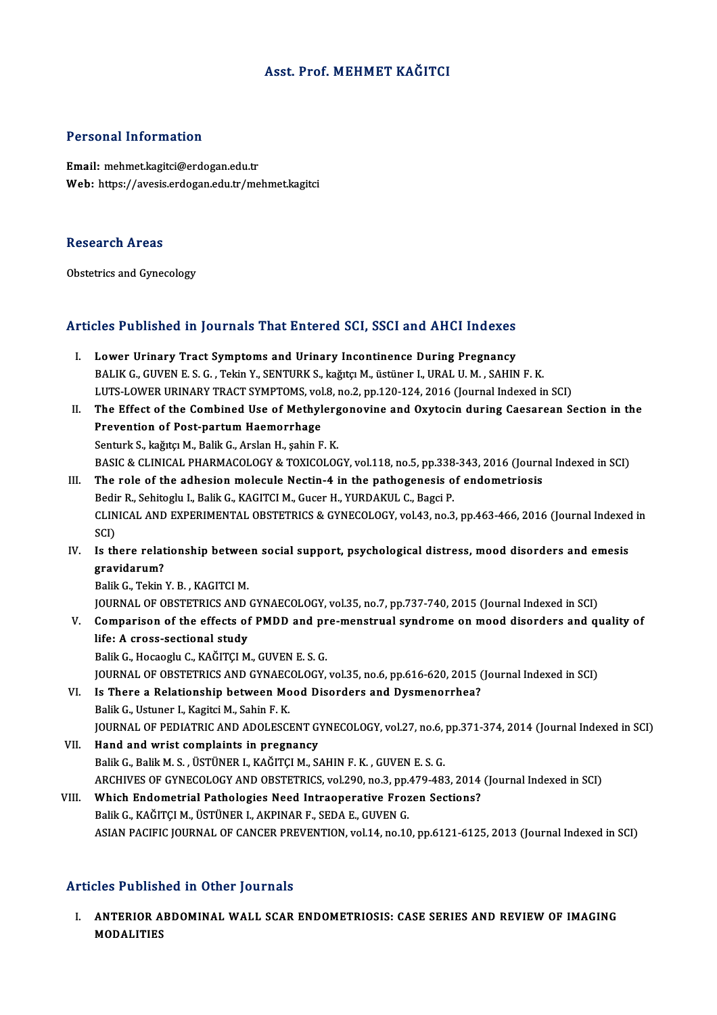## Asst. Prof.MEHMET KAĞITCI

## Personal Information

Email: mehmet.kagitci@erdogan.edu.tr Web: https://avesis.erdogan.edu.tr/mehmet.kagitci

### Research Areas

Obstetrics and Gynecology

# obstetrics and tynecology<br>Articles Published in Journals That Entered SCI, SSCI and AHCI Indexes

- Tricles Published in Journals That Entered SCI, SSCI and AHCI Indexes<br>I. Lower Urinary Tract Symptoms and Urinary Incontinence During Pregnancy<br>RALIK G CUVEN E S.G. Tokin V. SENTURY S. koğtru M. Satünor LURALU M. SAHIN BALIK G., GUYENCE TH'YORT HULL HAT ENTER ER BERT SEGT ENE THAT THE HER BALIK G., GUYEN E. S. G. , Tekin Y., SENTURK S., kağıtçı M., üstüner I., URAL U.M. , SAHIN F. K.<br>BALIK G., GUVEN E. S. G. , Tekin Y., SENTURK S., kağıt Lower Urinary Tract Symptoms and Urinary Incontinence During Pregnancy<br>BALIK G., GUVEN E. S. G. , Tekin Y., SENTURK S., kağıtçı M., üstüner I., URAL U. M. , SAHIN F. K.<br>LUTS-LOWER URINARY TRACT SYMPTOMS, vol.8, no.2, pp.12 BALIK G., GUVEN E. S. G. , Tekin Y., SENTURK S., kağıtçı M., üstüner I., URAL U. M. , SAHIN F. K.<br>LUTS-LOWER URINARY TRACT SYMPTOMS, vol.8, no.2, pp.120-124, 2016 (Journal Indexed in SCI)<br>II. The Effect of the Combined Use
- LUTS-LOWER URINARY TRACT SYMPTOMS, vol.8, no.2, pp.120-124, 2016 (Journal Indexed in SCI)<br>The Effect of the Combined Use of Methylergonovine and Oxytocin during Caesarean S<br>Prevention of Post-partum Haemorrhage<br>Senturk S., The Effect of the Combined Use of Methylerg<br>Prevention of Post-partum Haemorrhage<br>Senturk S., kağıtçı M., Balik G., Arslan H., şahin F. K.<br>BASIC & CLINICAL BHARMACQLOCY & TOYICQLOC Prevention of Post-partum Haemorrhage<br>Senturk S., kağıtçı M., Balik G., Arslan H., şahin F. K.<br>BASIC & CLINICAL PHARMACOLOGY & TOXICOLOGY, vol.118, no.5, pp.338-343, 2016 (Journal Indexed in SCI)<br>The rale of the adhesian m BASIC & CLINICAL PHARMACOLOGY & TOXICOLOGY, vol.118, no.5, pp.338<br>The role of the adhesion molecule Nectin-4 in the pathogenesis o<br>Bedir R., Sehitoglu I., Balik G., KAGITCI M., Gucer H., YURDAKUL C., Bagci P.<br>CLINICAL AND
- III. The role of the adhesion molecule Nectin-4 in the pathogenesis of endometriosis Bedir R., Sehitoglu I., Balik G., KAGITCI M., Gucer H., YURDAKUL C., Bagci P. The role of the adhesion molecule Nectin-4 in the pathogenesis of endometriosis<br>Bedir R., Sehitoglu I., Balik G., KAGITCI M., Gucer H., YURDAKUL C., Bagci P.<br>CLINICAL AND EXPERIMENTAL OBSTETRICS & GYNECOLOGY, vol.43, no.3, Bedi<br>CLIN<br>SCI)<br>Is th CLINICAL AND EXPERIMENTAL OBSTETRICS & GYNECOLOGY, vol.43, no.3, pp.463-466, 2016 (Journal Indexed<br>SCI)<br>IV. Is there relationship between social support, psychological distress, mood disorders and emesis<br>
anayidarum?
- SCI)<br>Is there relat<br>gravidarum?<br><sup>Polik C. Tokin</sub></sup> Is there relationship betwee<br>gravidarum?<br>Balik G., Tekin Y. B. , KAGITCI M.<br>JOUPNAL OF OPSTETPICS AND.

gravidarum?<br>Balik G., Tekin Y. B. , KAGITCI M.<br>JOURNAL OF OBSTETRICS AND GYNAECOLOGY, vol.35, no.7, pp.737-740, 2015 (Journal Indexed in SCI)<br>Comparison of the effects of PMPD and nre-menstrual syndrome on mood disorders a Balik G., Tekin Y. B. , KAGITCI M.<br>JOURNAL OF OBSTETRICS AND GYNAECOLOGY, vol.35, no.7, pp.737-740, 2015 (Journal Indexed in SCI)<br>V. Comparison of the effects of PMDD and pre-menstrual syndrome on mood disorders and qualit

JOURNAL OF OBSTETRICS AND<br>Comparison of the effects of<br>life: A cross-sectional study<br>Balik G Hossesly G KAČITCI M Comparison of the effects of PMDD and pr<br>life: A cross-sectional study<br>Balik G., Hocaoglu C., KAĞITÇI M., GUVEN E. S. G.<br>JOUPMAL OF OBSTETPLES AND CYNAECOLOCY

life: A cross-sectional study<br>Balik G., Hocaoglu C., KAĞITÇI M., GUVEN E. S. G.<br>JOURNAL OF OBSTETRICS AND GYNAECOLOGY, vol.35, no.6, pp.616-620, 2015 (Journal Indexed in SCI) Balik G., Hocaoglu C., KAĞITÇI M., GUVEN E. S. G.<br>JOURNAL OF OBSTETRICS AND GYNAECOLOGY, vol.35, no.6, pp.616-620, 2015 (<br>VI. Is There a Relationship between Mood Disorders and Dysmenorrhea?<br>Palik G. Ustuper L. Kasitsi M.

- JOURNAL OF OBSTETRICS AND GYNAEC<br>Is There a Relationship between Mc<br>Balik G., Ustuner I., Kagitci M., Sahin F. K.<br>JOURNAL OF PEDIATRIC AND ADOLESC Balik G., Ustuner I., Kagitci M., Sahin F. K.<br>JOURNAL OF PEDIATRIC AND ADOLESCENT GYNECOLOGY, vol.27, no.6, pp.371-374, 2014 (Journal Indexed in SCI)
- VII. Hand and wrist complaints in pregnancy Balik G., Balik M. S., ÜSTÜNER I., KAĞITÇI M., SAHIN F. K., GUVEN E. S. G. ARCHIVES OF GYNECOLOGY AND OBSTETRICS, vol.290, no.3, pp.479-483, 2014 (Journal Indexed in SCI) Balik G., Balik M. S., ÜSTÜNER I., KAĞITÇI M., SAHIN F. K., GUVEN E. S. G.<br>ARCHIVES OF GYNECOLOGY AND OBSTETRICS, vol.290, no.3, pp.479-483, 2014<br>VIII. Which Endometrial Pathologies Need Intraoperative Frozen Sections?<br>Pal
- ARCHIVES OF GYNECOLOGY AND OBSTETRICS, vol.290, no.3, pp.<br>Which Endometrial Pathologies Need Intraoperative Froz<br>Balik G., KAĞITÇI M., ÜSTÜNER I., AKPINAR F., SEDA E., GUVEN G.<br>ASIAN PACIELC IQUPNAL OF CANCER PREVENTION VO Balik G., KAĞITÇI M., ÜSTÜNER I., AKPINAR F., SEDA E., GUVEN G.<br>ASIAN PACIFIC JOURNAL OF CANCER PREVENTION, vol.14, no.10, pp.6121-6125, 2013 (Journal Indexed in SCI)

## Articles Published in Other Journals

rticles Published in Other Journals<br>I. ANTERIOR ABDOMINAL WALL SCAR ENDOMETRIOSIS: CASE SERIES AND REVIEW OF IMAGING<br>MODALITIES MODALITIES<br>ANTERIOR A<br>MODALITIES